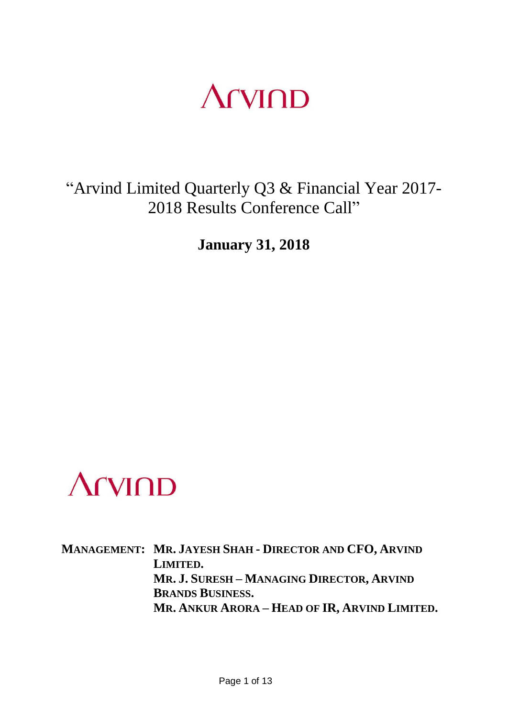### **Arvind**

"Arvind Limited Quarterly Q3 & Financial Year 2017- 2018 Results Conference Call"

**January 31, 2018**



**MANAGEMENT: MR. JAYESH SHAH - DIRECTOR AND CFO, ARVIND LIMITED. MR. J. SURESH – MANAGING DIRECTOR, ARVIND BRANDS BUSINESS. MR. ANKUR ARORA – HEAD OF IR, ARVIND LIMITED.**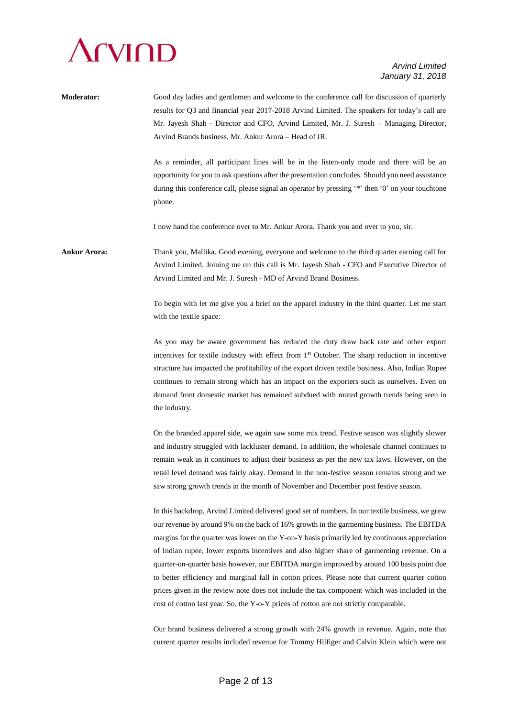# **Arvind**

### *Arvind Limited January 31, 2018*

| <b>Moderator:</b>   | Good day ladies and gentlemen and welcome to the conference call for discussion of quarterly<br>results for Q3 and financial year 2017-2018 Arvind Limited. The speakers for today's call are<br>Mr. Jayesh Shah - Director and CFO, Arvind Limited, Mr. J. Suresh - Managing Director,<br>Arvind Brands business, Mr. Ankur Arora - Head of IR.                                                                                                                                                                                                                                                                                                                                                                                                                                          |
|---------------------|-------------------------------------------------------------------------------------------------------------------------------------------------------------------------------------------------------------------------------------------------------------------------------------------------------------------------------------------------------------------------------------------------------------------------------------------------------------------------------------------------------------------------------------------------------------------------------------------------------------------------------------------------------------------------------------------------------------------------------------------------------------------------------------------|
|                     | As a reminder, all participant lines will be in the listen-only mode and there will be an<br>opportunity for you to ask questions after the presentation concludes. Should you need assistance<br>during this conference call, please signal an operator by pressing '*' then '0' on your touchtone<br>phone.                                                                                                                                                                                                                                                                                                                                                                                                                                                                             |
|                     | I now hand the conference over to Mr. Ankur Arora. Thank you and over to you, sir.                                                                                                                                                                                                                                                                                                                                                                                                                                                                                                                                                                                                                                                                                                        |
| <b>Ankur Arora:</b> | Thank you, Mallika. Good evening, everyone and welcome to the third quarter earning call for<br>Arvind Limited. Joining me on this call is Mr. Jayesh Shah - CFO and Executive Director of<br>Arvind Limited and Mr. J. Suresh - MD of Arvind Brand Business.                                                                                                                                                                                                                                                                                                                                                                                                                                                                                                                             |
|                     | To begin with let me give you a brief on the apparel industry in the third quarter. Let me start<br>with the textile space:                                                                                                                                                                                                                                                                                                                                                                                                                                                                                                                                                                                                                                                               |
|                     | As you may be aware government has reduced the duty draw back rate and other export<br>incentives for textile industry with effect from 1 <sup>st</sup> October. The sharp reduction in incentive<br>structure has impacted the profitability of the export driven textile business. Also, Indian Rupee<br>continues to remain strong which has an impact on the exporters such as ourselves. Even on<br>demand front domestic market has remained subdued with muted growth trends being seen in<br>the industry.                                                                                                                                                                                                                                                                        |
|                     | On the branded apparel side, we again saw some mix trend. Festive season was slightly slower<br>and industry struggled with lackluster demand. In addition, the wholesale channel continues to<br>remain weak as it continues to adjust their business as per the new tax laws. However, on the<br>retail level demand was fairly okay. Demand in the non-festive season remains strong and we<br>saw strong growth trends in the month of November and December post festive season.                                                                                                                                                                                                                                                                                                     |
|                     | In this backdrop, Arvind Limited delivered good set of numbers. In our textile business, we grew<br>our revenue by around 9% on the back of 16% growth in the garmenting business. The EBITDA<br>margins for the quarter was lower on the Y-on-Y basis primarily led by continuous appreciation<br>of Indian rupee, lower exports incentives and also higher share of garmenting revenue. On a<br>quarter-on-quarter basis however, our EBITDA margin improved by around 100 basis point due<br>to better efficiency and marginal fall in cotton prices. Please note that current quarter cotton<br>prices given in the review note does not include the tax component which was included in the<br>cost of cotton last year. So, the Y-o-Y prices of cotton are not strictly comparable. |
|                     |                                                                                                                                                                                                                                                                                                                                                                                                                                                                                                                                                                                                                                                                                                                                                                                           |

Our brand business delivered a strong growth with 24% growth in revenue. Again, note that current quarter results included revenue for Tommy Hilfiger and Calvin Klein which were not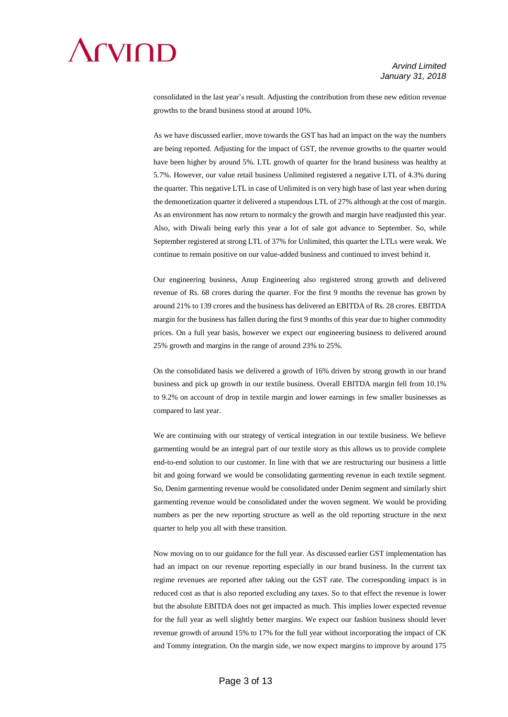

consolidated in the last year's result. Adjusting the contribution from these new edition revenue growths to the brand business stood at around 10%.

As we have discussed earlier, move towards the GST has had an impact on the way the numbers are being reported. Adjusting for the impact of GST, the revenue growths to the quarter would have been higher by around 5%. LTL growth of quarter for the brand business was healthy at 5.7%. However, our value retail business Unlimited registered a negative LTL of 4.3% during the quarter. This negative LTL in case of Unlimited is on very high base of last year when during the demonetization quarter it delivered a stupendous LTL of 27% although at the cost of margin. As an environment has now return to normalcy the growth and margin have readjusted this year. Also, with Diwali being early this year a lot of sale got advance to September. So, while September registered at strong LTL of 37% for Unlimited, this quarter the LTLs were weak. We continue to remain positive on our value-added business and continued to invest behind it.

Our engineering business, Anup Engineering also registered strong growth and delivered revenue of Rs. 68 crores during the quarter. For the first 9 months the revenue has grown by around 21% to 139 crores and the business has delivered an EBITDA of Rs. 28 crores. EBITDA margin for the business has fallen during the first 9 months of this year due to higher commodity prices. On a full year basis, however we expect our engineering business to delivered around 25% growth and margins in the range of around 23% to 25%.

On the consolidated basis we delivered a growth of 16% driven by strong growth in our brand business and pick up growth in our textile business. Overall EBITDA margin fell from 10.1% to 9.2% on account of drop in textile margin and lower earnings in few smaller businesses as compared to last year.

We are continuing with our strategy of vertical integration in our textile business. We believe garmenting would be an integral part of our textile story as this allows us to provide complete end-to-end solution to our customer. In line with that we are restructuring our business a little bit and going forward we would be consolidating garmenting revenue in each textile segment. So, Denim garmenting revenue would be consolidated under Denim segment and similarly shirt garmenting revenue would be consolidated under the woven segment. We would be providing numbers as per the new reporting structure as well as the old reporting structure in the next quarter to help you all with these transition.

Now moving on to our guidance for the full year. As discussed earlier GST implementation has had an impact on our revenue reporting especially in our brand business. In the current tax regime revenues are reported after taking out the GST rate. The corresponding impact is in reduced cost as that is also reported excluding any taxes. So to that effect the revenue is lower but the absolute EBITDA does not get impacted as much. This implies lower expected revenue for the full year as well slightly better margins. We expect our fashion business should lever revenue growth of around 15% to 17% for the full year without incorporating the impact of CK and Tommy integration. On the margin side, we now expect margins to improve by around 175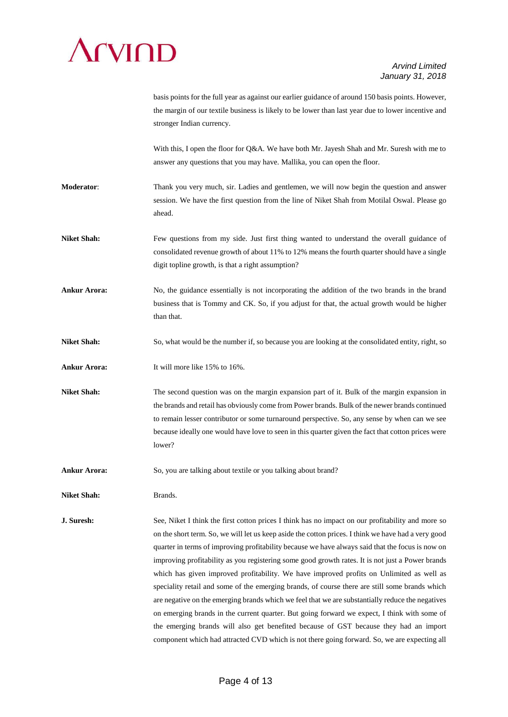

|                     | basis points for the full year as against our earlier guidance of around 150 basis points. However,<br>the margin of our textile business is likely to be lower than last year due to lower incentive and<br>stronger Indian currency.                                                                                                                                                                                                                                                                                                                                                                                                                                                                                                                                                                                                                                                                                                                                                                      |
|---------------------|-------------------------------------------------------------------------------------------------------------------------------------------------------------------------------------------------------------------------------------------------------------------------------------------------------------------------------------------------------------------------------------------------------------------------------------------------------------------------------------------------------------------------------------------------------------------------------------------------------------------------------------------------------------------------------------------------------------------------------------------------------------------------------------------------------------------------------------------------------------------------------------------------------------------------------------------------------------------------------------------------------------|
|                     | With this, I open the floor for Q&A. We have both Mr. Jayesh Shah and Mr. Suresh with me to<br>answer any questions that you may have. Mallika, you can open the floor.                                                                                                                                                                                                                                                                                                                                                                                                                                                                                                                                                                                                                                                                                                                                                                                                                                     |
| <b>Moderator:</b>   | Thank you very much, sir. Ladies and gentlemen, we will now begin the question and answer<br>session. We have the first question from the line of Niket Shah from Motilal Oswal. Please go<br>ahead.                                                                                                                                                                                                                                                                                                                                                                                                                                                                                                                                                                                                                                                                                                                                                                                                        |
| <b>Niket Shah:</b>  | Few questions from my side. Just first thing wanted to understand the overall guidance of<br>consolidated revenue growth of about 11% to 12% means the fourth quarter should have a single<br>digit topline growth, is that a right assumption?                                                                                                                                                                                                                                                                                                                                                                                                                                                                                                                                                                                                                                                                                                                                                             |
| <b>Ankur Arora:</b> | No, the guidance essentially is not incorporating the addition of the two brands in the brand<br>business that is Tommy and CK. So, if you adjust for that, the actual growth would be higher<br>than that.                                                                                                                                                                                                                                                                                                                                                                                                                                                                                                                                                                                                                                                                                                                                                                                                 |
| <b>Niket Shah:</b>  | So, what would be the number if, so because you are looking at the consolidated entity, right, so                                                                                                                                                                                                                                                                                                                                                                                                                                                                                                                                                                                                                                                                                                                                                                                                                                                                                                           |
| <b>Ankur Arora:</b> | It will more like 15% to 16%.                                                                                                                                                                                                                                                                                                                                                                                                                                                                                                                                                                                                                                                                                                                                                                                                                                                                                                                                                                               |
| <b>Niket Shah:</b>  | The second question was on the margin expansion part of it. Bulk of the margin expansion in<br>the brands and retail has obviously come from Power brands. Bulk of the newer brands continued<br>to remain lesser contributor or some turnaround perspective. So, any sense by when can we see<br>because ideally one would have love to seen in this quarter given the fact that cotton prices were<br>lower?                                                                                                                                                                                                                                                                                                                                                                                                                                                                                                                                                                                              |
| Ankur Arora:        | So, you are talking about textile or you talking about brand?                                                                                                                                                                                                                                                                                                                                                                                                                                                                                                                                                                                                                                                                                                                                                                                                                                                                                                                                               |
| <b>Niket Shah:</b>  | Brands.                                                                                                                                                                                                                                                                                                                                                                                                                                                                                                                                                                                                                                                                                                                                                                                                                                                                                                                                                                                                     |
| J. Suresh:          | See, Niket I think the first cotton prices I think has no impact on our profitability and more so<br>on the short term. So, we will let us keep aside the cotton prices. I think we have had a very good<br>quarter in terms of improving profitability because we have always said that the focus is now on<br>improving profitability as you registering some good growth rates. It is not just a Power brands<br>which has given improved profitability. We have improved profits on Unlimited as well as<br>speciality retail and some of the emerging brands, of course there are still some brands which<br>are negative on the emerging brands which we feel that we are substantially reduce the negatives<br>on emerging brands in the current quarter. But going forward we expect, I think with some of<br>the emerging brands will also get benefited because of GST because they had an import<br>component which had attracted CVD which is not there going forward. So, we are expecting all |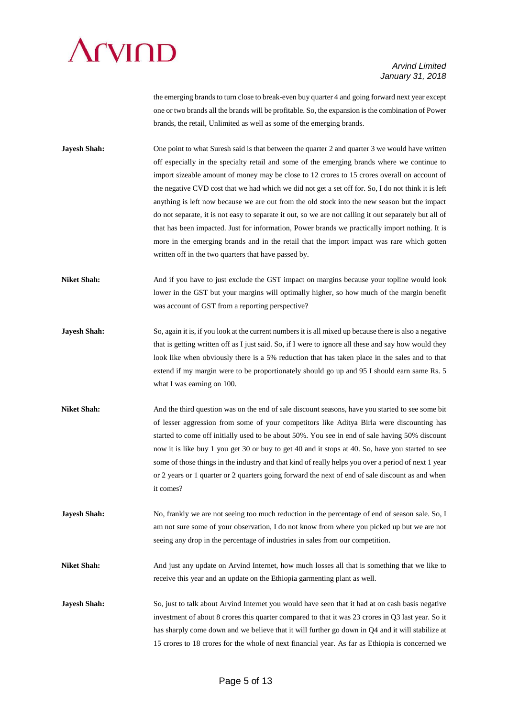# **CVIOD**

### *Arvind Limited January 31, 2018*

the emerging brands to turn close to break-even buy quarter 4 and going forward next year except one or two brands all the brands will be profitable. So, the expansion is the combination of Power brands, the retail, Unlimited as well as some of the emerging brands.

**Jayesh Shah:** One point to what Suresh said is that between the quarter 2 and quarter 3 we would have written off especially in the specialty retail and some of the emerging brands where we continue to import sizeable amount of money may be close to 12 crores to 15 crores overall on account of the negative CVD cost that we had which we did not get a set off for. So, I do not think it is left anything is left now because we are out from the old stock into the new season but the impact do not separate, it is not easy to separate it out, so we are not calling it out separately but all of that has been impacted. Just for information, Power brands we practically import nothing. It is more in the emerging brands and in the retail that the import impact was rare which gotten written off in the two quarters that have passed by.

**Niket Shah:** And if you have to just exclude the GST impact on margins because your topline would look lower in the GST but your margins will optimally higher, so how much of the margin benefit was account of GST from a reporting perspective?

- **Jayesh Shah:** So, again it is, if you look at the current numbers it is all mixed up because there is also a negative that is getting written off as I just said. So, if I were to ignore all these and say how would they look like when obviously there is a 5% reduction that has taken place in the sales and to that extend if my margin were to be proportionately should go up and 95 I should earn same Rs. 5 what I was earning on 100.
- **Niket Shah:** And the third question was on the end of sale discount seasons, have you started to see some bit of lesser aggression from some of your competitors like Aditya Birla were discounting has started to come off initially used to be about 50%. You see in end of sale having 50% discount now it is like buy 1 you get 30 or buy to get 40 and it stops at 40. So, have you started to see some of those things in the industry and that kind of really helps you over a period of next 1 year or 2 years or 1 quarter or 2 quarters going forward the next of end of sale discount as and when it comes?

**Jayesh Shah:** No, frankly we are not seeing too much reduction in the percentage of end of season sale. So, I am not sure some of your observation, I do not know from where you picked up but we are not seeing any drop in the percentage of industries in sales from our competition.

**Niket Shah:** And just any update on Arvind Internet, how much losses all that is something that we like to receive this year and an update on the Ethiopia garmenting plant as well.

**Jayesh Shah:** So, just to talk about Arvind Internet you would have seen that it had at on cash basis negative investment of about 8 crores this quarter compared to that it was 23 crores in Q3 last year. So it has sharply come down and we believe that it will further go down in Q4 and it will stabilize at 15 crores to 18 crores for the whole of next financial year. As far as Ethiopia is concerned we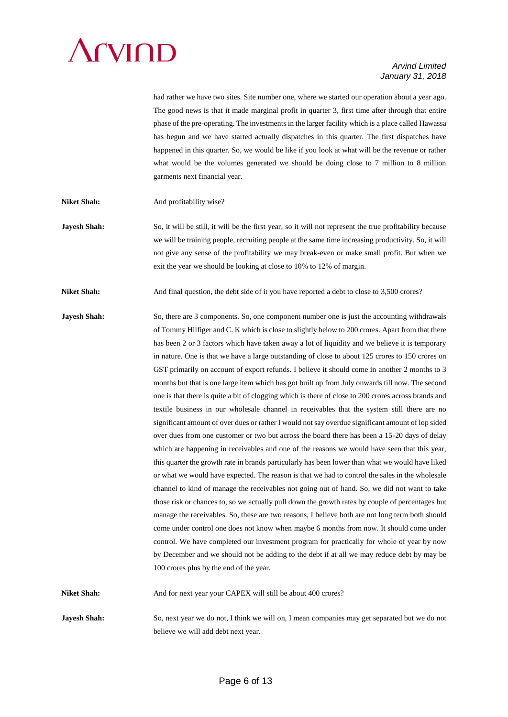# **CVIOD**

### *Arvind Limited January 31, 2018*

had rather we have two sites. Site number one, where we started our operation about a year ago. The good news is that it made marginal profit in quarter 3, first time after through that entire phase of the pre-operating. The investments in the larger facility which is a place called Hawassa has begun and we have started actually dispatches in this quarter. The first dispatches have happened in this quarter. So, we would be like if you look at what will be the revenue or rather what would be the volumes generated we should be doing close to 7 million to 8 million garments next financial year.

- **Niket Shah:** And profitability wise?
- **Jayesh Shah:** So, it will be still, it will be the first year, so it will not represent the true profitability because we will be training people, recruiting people at the same time increasing productivity. So, it will not give any sense of the profitability we may break-even or make small profit. But when we exit the year we should be looking at close to 10% to 12% of margin.

Niket Shah: And final question, the debt side of it you have reported a debt to close to 3,500 crores?

**Jayesh Shah:** So, there are 3 components. So, one component number one is just the accounting withdrawals of Tommy Hilfiger and C. K which is close to slightly below to 200 crores. Apart from that there has been 2 or 3 factors which have taken away a lot of liquidity and we believe it is temporary in nature. One is that we have a large outstanding of close to about 125 crores to 150 crores on GST primarily on account of export refunds. I believe it should come in another 2 months to 3 months but that is one large item which has got built up from July onwards till now. The second one is that there is quite a bit of clogging which is there of close to 200 crores across brands and textile business in our wholesale channel in receivables that the system still there are no significant amount of over dues or rather I would not say overdue significant amount of lop sided over dues from one customer or two but across the board there has been a 15-20 days of delay which are happening in receivables and one of the reasons we would have seen that this year, this quarter the growth rate in brands particularly has been lower than what we would have liked or what we would have expected. The reason is that we had to control the sales in the wholesale channel to kind of manage the receivables not going out of hand. So, we did not want to take those risk or chances to, so we actually pull down the growth rates by couple of percentages but manage the receivables. So, these are two reasons, I believe both are not long term both should come under control one does not know when maybe 6 months from now. It should come under control. We have completed our investment program for practically for whole of year by now by December and we should not be adding to the debt if at all we may reduce debt by may be 100 crores plus by the end of the year.

**Niket Shah:** And for next year your CAPEX will still be about 400 crores?

**Jayesh Shah:** So, next year we do not, I think we will on, I mean companies may get separated but we do not believe we will add debt next year.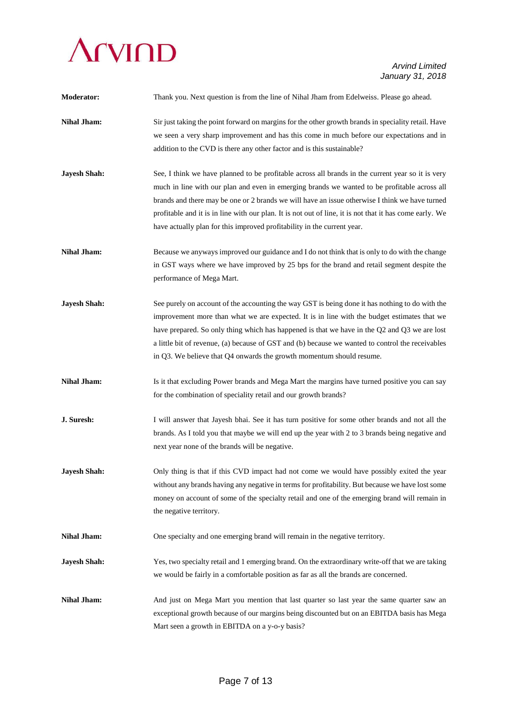

| <b>Moderator:</b>   | Thank you. Next question is from the line of Nihal Jham from Edelweiss. Please go ahead.                                                                                                                                                                                                                                                                                                                                                                                                  |
|---------------------|-------------------------------------------------------------------------------------------------------------------------------------------------------------------------------------------------------------------------------------------------------------------------------------------------------------------------------------------------------------------------------------------------------------------------------------------------------------------------------------------|
| <b>Nihal Jham:</b>  | Sir just taking the point forward on margins for the other growth brands in speciality retail. Have<br>we seen a very sharp improvement and has this come in much before our expectations and in<br>addition to the CVD is there any other factor and is this sustainable?                                                                                                                                                                                                                |
| <b>Jayesh Shah:</b> | See, I think we have planned to be profitable across all brands in the current year so it is very<br>much in line with our plan and even in emerging brands we wanted to be profitable across all<br>brands and there may be one or 2 brands we will have an issue otherwise I think we have turned<br>profitable and it is in line with our plan. It is not out of line, it is not that it has come early. We<br>have actually plan for this improved profitability in the current year. |
| <b>Nihal Jham:</b>  | Because we anyways improved our guidance and I do not think that is only to do with the change<br>in GST ways where we have improved by 25 bps for the brand and retail segment despite the<br>performance of Mega Mart.                                                                                                                                                                                                                                                                  |
| <b>Jayesh Shah:</b> | See purely on account of the accounting the way GST is being done it has nothing to do with the<br>improvement more than what we are expected. It is in line with the budget estimates that we<br>have prepared. So only thing which has happened is that we have in the Q2 and Q3 we are lost<br>a little bit of revenue, (a) because of GST and (b) because we wanted to control the receivables<br>in Q3. We believe that Q4 onwards the growth momentum should resume.                |
| <b>Nihal Jham:</b>  | Is it that excluding Power brands and Mega Mart the margins have turned positive you can say<br>for the combination of speciality retail and our growth brands?                                                                                                                                                                                                                                                                                                                           |
| J. Suresh:          | I will answer that Jayesh bhai. See it has turn positive for some other brands and not all the<br>brands. As I told you that maybe we will end up the year with 2 to 3 brands being negative and<br>next year none of the brands will be negative.                                                                                                                                                                                                                                        |
| <b>Jayesh Shah:</b> | Only thing is that if this CVD impact had not come we would have possibly exited the year<br>without any brands having any negative in terms for profitability. But because we have lost some<br>money on account of some of the specialty retail and one of the emerging brand will remain in<br>the negative territory.                                                                                                                                                                 |
| <b>Nihal Jham:</b>  | One specialty and one emerging brand will remain in the negative territory.                                                                                                                                                                                                                                                                                                                                                                                                               |
| <b>Jayesh Shah:</b> | Yes, two specialty retail and 1 emerging brand. On the extraordinary write-off that we are taking<br>we would be fairly in a comfortable position as far as all the brands are concerned.                                                                                                                                                                                                                                                                                                 |
| <b>Nihal Jham:</b>  | And just on Mega Mart you mention that last quarter so last year the same quarter saw an<br>exceptional growth because of our margins being discounted but on an EBITDA basis has Mega<br>Mart seen a growth in EBITDA on a y-o-y basis?                                                                                                                                                                                                                                                  |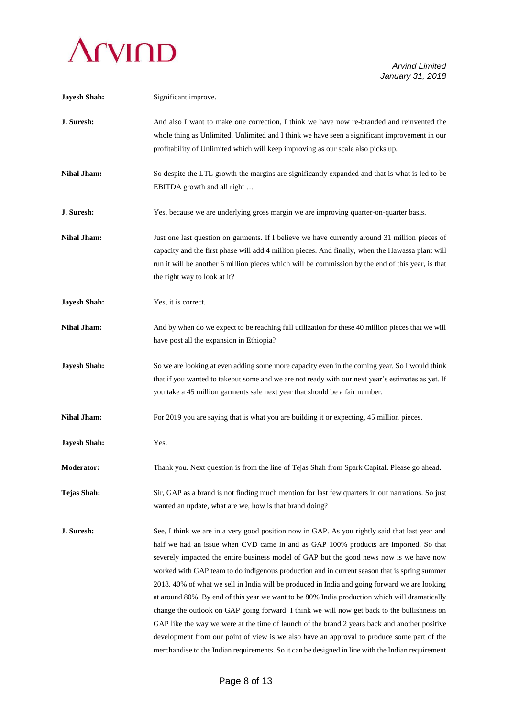

| <b>Jayesh Shah:</b> | Significant improve.                                                                                                                                                                                                                                                                                                                                                                                                                                                                                                                                                                                                                                                                                                                                                                                                                                                                                                                                                                   |
|---------------------|----------------------------------------------------------------------------------------------------------------------------------------------------------------------------------------------------------------------------------------------------------------------------------------------------------------------------------------------------------------------------------------------------------------------------------------------------------------------------------------------------------------------------------------------------------------------------------------------------------------------------------------------------------------------------------------------------------------------------------------------------------------------------------------------------------------------------------------------------------------------------------------------------------------------------------------------------------------------------------------|
| J. Suresh:          | And also I want to make one correction, I think we have now re-branded and reinvented the<br>whole thing as Unlimited. Unlimited and I think we have seen a significant improvement in our<br>profitability of Unlimited which will keep improving as our scale also picks up.                                                                                                                                                                                                                                                                                                                                                                                                                                                                                                                                                                                                                                                                                                         |
| <b>Nihal Jham:</b>  | So despite the LTL growth the margins are significantly expanded and that is what is led to be<br>EBITDA growth and all right                                                                                                                                                                                                                                                                                                                                                                                                                                                                                                                                                                                                                                                                                                                                                                                                                                                          |
| J. Suresh:          | Yes, because we are underlying gross margin we are improving quarter-on-quarter basis.                                                                                                                                                                                                                                                                                                                                                                                                                                                                                                                                                                                                                                                                                                                                                                                                                                                                                                 |
| <b>Nihal Jham:</b>  | Just one last question on garments. If I believe we have currently around 31 million pieces of<br>capacity and the first phase will add 4 million pieces. And finally, when the Hawassa plant will<br>run it will be another 6 million pieces which will be commission by the end of this year, is that<br>the right way to look at it?                                                                                                                                                                                                                                                                                                                                                                                                                                                                                                                                                                                                                                                |
| <b>Jayesh Shah:</b> | Yes, it is correct.                                                                                                                                                                                                                                                                                                                                                                                                                                                                                                                                                                                                                                                                                                                                                                                                                                                                                                                                                                    |
| <b>Nihal Jham:</b>  | And by when do we expect to be reaching full utilization for these 40 million pieces that we will<br>have post all the expansion in Ethiopia?                                                                                                                                                                                                                                                                                                                                                                                                                                                                                                                                                                                                                                                                                                                                                                                                                                          |
| <b>Jayesh Shah:</b> | So we are looking at even adding some more capacity even in the coming year. So I would think<br>that if you wanted to takeout some and we are not ready with our next year's estimates as yet. If<br>you take a 45 million garments sale next year that should be a fair number.                                                                                                                                                                                                                                                                                                                                                                                                                                                                                                                                                                                                                                                                                                      |
| <b>Nihal Jham:</b>  | For 2019 you are saying that is what you are building it or expecting, 45 million pieces.                                                                                                                                                                                                                                                                                                                                                                                                                                                                                                                                                                                                                                                                                                                                                                                                                                                                                              |
| <b>Jayesh Shah:</b> | Yes.                                                                                                                                                                                                                                                                                                                                                                                                                                                                                                                                                                                                                                                                                                                                                                                                                                                                                                                                                                                   |
| <b>Moderator:</b>   | Thank you. Next question is from the line of Tejas Shah from Spark Capital. Please go ahead.                                                                                                                                                                                                                                                                                                                                                                                                                                                                                                                                                                                                                                                                                                                                                                                                                                                                                           |
| <b>Tejas Shah:</b>  | Sir, GAP as a brand is not finding much mention for last few quarters in our narrations. So just<br>wanted an update, what are we, how is that brand doing?                                                                                                                                                                                                                                                                                                                                                                                                                                                                                                                                                                                                                                                                                                                                                                                                                            |
| J. Suresh:          | See, I think we are in a very good position now in GAP. As you rightly said that last year and<br>half we had an issue when CVD came in and as GAP 100% products are imported. So that<br>severely impacted the entire business model of GAP but the good news now is we have now<br>worked with GAP team to do indigenous production and in current season that is spring summer<br>2018. 40% of what we sell in India will be produced in India and going forward we are looking<br>at around 80%. By end of this year we want to be 80% India production which will dramatically<br>change the outlook on GAP going forward. I think we will now get back to the bullishness on<br>GAP like the way we were at the time of launch of the brand 2 years back and another positive<br>development from our point of view is we also have an approval to produce some part of the<br>merchandise to the Indian requirements. So it can be designed in line with the Indian requirement |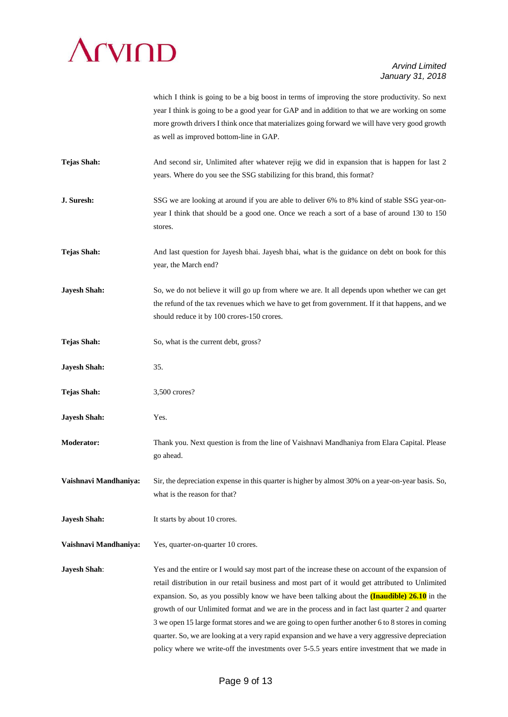

which I think is going to be a big boost in terms of improving the store productivity. So next year I think is going to be a good year for GAP and in addition to that we are working on some more growth drivers I think once that materializes going forward we will have very good growth as well as improved bottom-line in GAP.

- **Tejas Shah:** And second sir, Unlimited after whatever rejig we did in expansion that is happen for last 2 years. Where do you see the SSG stabilizing for this brand, this format?
- **J. Suresh:** SSG we are looking at around if you are able to deliver 6% to 8% kind of stable SSG year-onyear I think that should be a good one. Once we reach a sort of a base of around 130 to 150 stores.
- **Tejas Shah:** And last question for Jayesh bhai. Jayesh bhai, what is the guidance on debt on book for this year, the March end?
- **Jayesh Shah:** So, we do not believe it will go up from where we are. It all depends upon whether we can get the refund of the tax revenues which we have to get from government. If it that happens, and we should reduce it by 100 crores-150 crores.
- **Tejas Shah:** So, what is the current debt, gross?
- **Jayesh Shah:** 35.
- Tejas Shah:  $3,500$  crores?
- **Jayesh Shah:** Yes.
- **Moderator:** Thank you. Next question is from the line of Vaishnavi Mandhaniya from Elara Capital. Please go ahead.

**Vaishnavi Mandhaniya:** Sir, the depreciation expense in this quarter is higher by almost 30% on a year-on-year basis. So, what is the reason for that?

- **Jayesh Shah:** It starts by about 10 crores.
- **Vaishnavi Mandhaniya:** Yes, quarter-on-quarter 10 crores.

**Jayesh Shah:** Yes and the entire or I would say most part of the increase these on account of the expansion of retail distribution in our retail business and most part of it would get attributed to Unlimited expansion. So, as you possibly know we have been talking about the **(Inaudible) 26.10** in the growth of our Unlimited format and we are in the process and in fact last quarter 2 and quarter 3 we open 15 large format stores and we are going to open further another 6 to 8 stores in coming quarter. So, we are looking at a very rapid expansion and we have a very aggressive depreciation policy where we write-off the investments over 5-5.5 years entire investment that we made in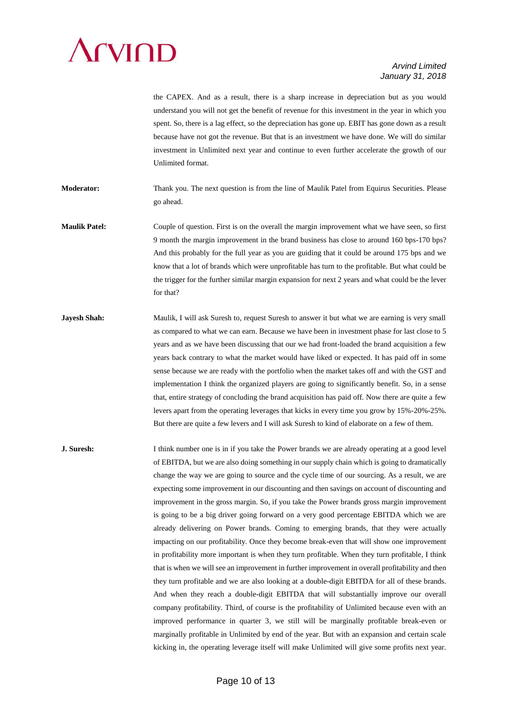# **SUMP**

#### *Arvind Limited January 31, 2018*

the CAPEX. And as a result, there is a sharp increase in depreciation but as you would understand you will not get the benefit of revenue for this investment in the year in which you spent. So, there is a lag effect, so the depreciation has gone up. EBIT has gone down as a result because have not got the revenue. But that is an investment we have done. We will do similar investment in Unlimited next year and continue to even further accelerate the growth of our Unlimited format.

**Moderator:** Thank you. The next question is from the line of Maulik Patel from Equirus Securities. Please go ahead.

- **Maulik Patel:** Couple of question. First is on the overall the margin improvement what we have seen, so first 9 month the margin improvement in the brand business has close to around 160 bps-170 bps? And this probably for the full year as you are guiding that it could be around 175 bps and we know that a lot of brands which were unprofitable has turn to the profitable. But what could be the trigger for the further similar margin expansion for next 2 years and what could be the lever for that?
- **Jayesh Shah:** Maulik, I will ask Suresh to, request Suresh to answer it but what we are earning is very small as compared to what we can earn. Because we have been in investment phase for last close to 5 years and as we have been discussing that our we had front-loaded the brand acquisition a few years back contrary to what the market would have liked or expected. It has paid off in some sense because we are ready with the portfolio when the market takes off and with the GST and implementation I think the organized players are going to significantly benefit. So, in a sense that, entire strategy of concluding the brand acquisition has paid off. Now there are quite a few levers apart from the operating leverages that kicks in every time you grow by 15%-20%-25%. But there are quite a few levers and I will ask Suresh to kind of elaborate on a few of them.

**J. Suresh:** I think number one is in if you take the Power brands we are already operating at a good level of EBITDA, but we are also doing something in our supply chain which is going to dramatically change the way we are going to source and the cycle time of our sourcing. As a result, we are expecting some improvement in our discounting and then savings on account of discounting and improvement in the gross margin. So, if you take the Power brands gross margin improvement is going to be a big driver going forward on a very good percentage EBITDA which we are already delivering on Power brands. Coming to emerging brands, that they were actually impacting on our profitability. Once they become break-even that will show one improvement in profitability more important is when they turn profitable. When they turn profitable, I think that is when we will see an improvement in further improvement in overall profitability and then they turn profitable and we are also looking at a double-digit EBITDA for all of these brands. And when they reach a double-digit EBITDA that will substantially improve our overall company profitability. Third, of course is the profitability of Unlimited because even with an improved performance in quarter 3, we still will be marginally profitable break-even or marginally profitable in Unlimited by end of the year. But with an expansion and certain scale kicking in, the operating leverage itself will make Unlimited will give some profits next year.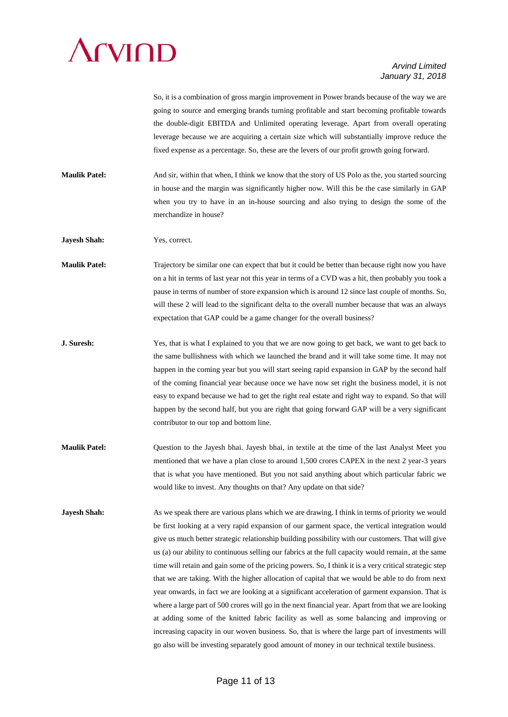# **SEXTEND**

#### *Arvind Limited January 31, 2018*

So, it is a combination of gross margin improvement in Power brands because of the way we are going to source and emerging brands turning profitable and start becoming profitable towards the double-digit EBITDA and Unlimited operating leverage. Apart from overall operating leverage because we are acquiring a certain size which will substantially improve reduce the fixed expense as a percentage. So, these are the levers of our profit growth going forward.

**Maulik Patel:** And sir, within that when, I think we know that the story of US Polo as the, you started sourcing in house and the margin was significantly higher now. Will this be the case similarly in GAP when you try to have in an in-house sourcing and also trying to design the some of the merchandize in house?

**Jayesh Shah:** Yes, correct.

**Maulik Patel:** Trajectory be similar one can expect that but it could be better than because right now you have on a hit in terms of last year not this year in terms of a CVD was a hit, then probably you took a pause in terms of number of store expansion which is around 12 since last couple of months. So, will these 2 will lead to the significant delta to the overall number because that was an always expectation that GAP could be a game changer for the overall business?

- **J. Suresh:** Yes, that is what I explained to you that we are now going to get back, we want to get back to the same bullishness with which we launched the brand and it will take some time. It may not happen in the coming year but you will start seeing rapid expansion in GAP by the second half of the coming financial year because once we have now set right the business model, it is not easy to expand because we had to get the right real estate and right way to expand. So that will happen by the second half, but you are right that going forward GAP will be a very significant contributor to our top and bottom line.
- **Maulik Patel:** Question to the Jayesh bhai. Jayesh bhai, in textile at the time of the last Analyst Meet you mentioned that we have a plan close to around 1,500 crores CAPEX in the next 2 year-3 years that is what you have mentioned. But you not said anything about which particular fabric we would like to invest. Any thoughts on that? Any update on that side?
- **Jayesh Shah:** As we speak there are various plans which we are drawing. I think in terms of priority we would be first looking at a very rapid expansion of our garment space, the vertical integration would give us much better strategic relationship building possibility with our customers. That will give us (a) our ability to continuous selling our fabrics at the full capacity would remain, at the same time will retain and gain some of the pricing powers. So, I think it is a very critical strategic step that we are taking. With the higher allocation of capital that we would be able to do from next year onwards, in fact we are looking at a significant acceleration of garment expansion. That is where a large part of 500 crores will go in the next financial year. Apart from that we are looking at adding some of the knitted fabric facility as well as some balancing and improving or increasing capacity in our woven business. So, that is where the large part of investments will go also will be investing separately good amount of money in our technical textile business.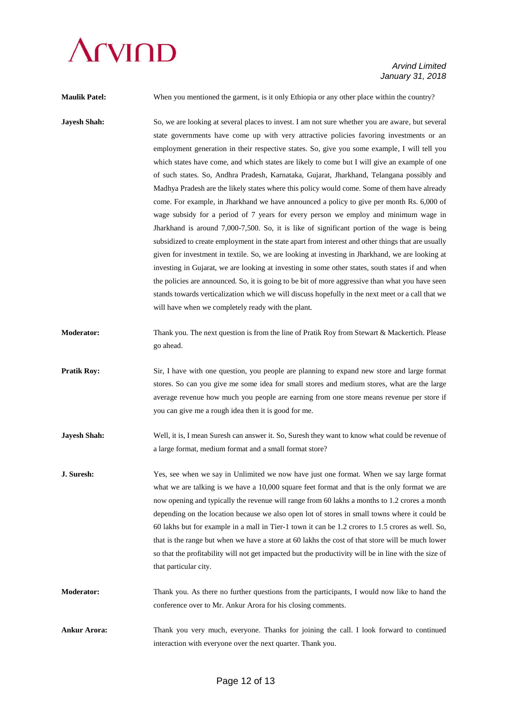# **CVIOD**

### *Arvind Limited January 31, 2018*

**Maulik Patel:** When you mentioned the garment, is it only Ethiopia or any other place within the country?

- **Jayesh Shah:** So, we are looking at several places to invest. I am not sure whether you are aware, but several state governments have come up with very attractive policies favoring investments or an employment generation in their respective states. So, give you some example, I will tell you which states have come, and which states are likely to come but I will give an example of one of such states. So, Andhra Pradesh, Karnataka, Gujarat, Jharkhand, Telangana possibly and Madhya Pradesh are the likely states where this policy would come. Some of them have already come. For example, in Jharkhand we have announced a policy to give per month Rs. 6,000 of wage subsidy for a period of 7 years for every person we employ and minimum wage in Jharkhand is around 7,000-7,500. So, it is like of significant portion of the wage is being subsidized to create employment in the state apart from interest and other things that are usually given for investment in textile. So, we are looking at investing in Jharkhand, we are looking at investing in Gujarat, we are looking at investing in some other states, south states if and when the policies are announced. So, it is going to be bit of more aggressive than what you have seen stands towards verticalization which we will discuss hopefully in the next meet or a call that we will have when we completely ready with the plant.
- **Moderator:** Thank you. The next question is from the line of Pratik Roy from Stewart & Mackertich. Please go ahead.
- **Pratik Roy:** Sir, I have with one question, you people are planning to expand new store and large format stores. So can you give me some idea for small stores and medium stores, what are the large average revenue how much you people are earning from one store means revenue per store if you can give me a rough idea then it is good for me.
- **Jayesh Shah:** Well, it is, I mean Suresh can answer it. So, Suresh they want to know what could be revenue of a large format, medium format and a small format store?
- **J. Suresh:** Yes, see when we say in Unlimited we now have just one format. When we say large format what we are talking is we have a 10,000 square feet format and that is the only format we are now opening and typically the revenue will range from 60 lakhs a months to 1.2 crores a month depending on the location because we also open lot of stores in small towns where it could be 60 lakhs but for example in a mall in Tier-1 town it can be 1.2 crores to 1.5 crores as well. So, that is the range but when we have a store at 60 lakhs the cost of that store will be much lower so that the profitability will not get impacted but the productivity will be in line with the size of that particular city.
- **Moderator:** Thank you. As there no further questions from the participants, I would now like to hand the conference over to Mr. Ankur Arora for his closing comments.
- **Ankur Arora:** Thank you very much, everyone. Thanks for joining the call. I look forward to continued interaction with everyone over the next quarter. Thank you.